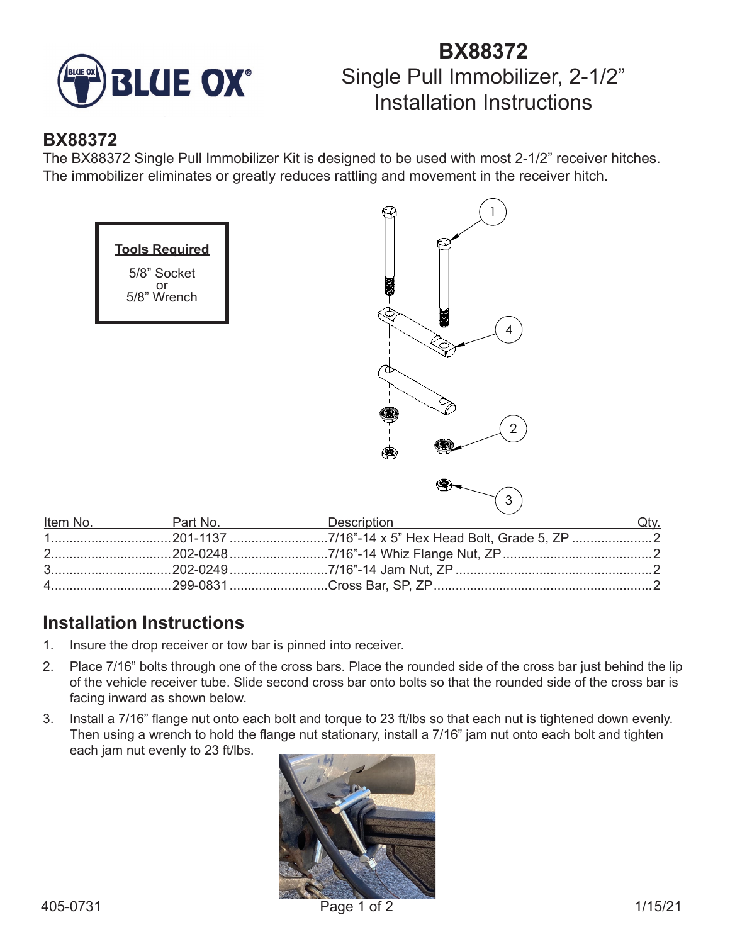

# **BX88372** Single Pull Immobilizer, 2-1/2" Installation Instructions

### **BX88372**

The BX88372 Single Pull Immobilizer Kit is designed to be used with most 2-1/2" receiver hitches. The immobilizer eliminates or greatly reduces rattling and movement in the receiver hitch.



## **Installation Instructions**

- 1. Insure the drop receiver or tow bar is pinned into receiver.
- 2. Place 7/16" bolts through one of the cross bars. Place the rounded side of the cross bar just behind the lip of the vehicle receiver tube. Slide second cross bar onto bolts so that the rounded side of the cross bar is facing inward as shown below.
- 3. Install a 7/16" flange nut onto each bolt and torque to 23 ft/lbs so that each nut is tightened down evenly. Then using a wrench to hold the flange nut stationary, install a 7/16" jam nut onto each bolt and tighten each jam nut evenly to 23 ft/lbs.